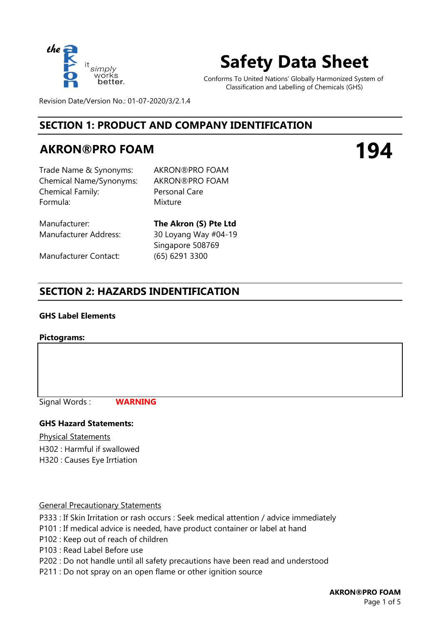

# **Safety Data Sheet**

Conforms To United Nations' Globally Harmonized System of Classification and Labelling of Chemicals (GHS)

Revision Date/Version No.: 01-07-2020/3/2.1.4

# **SECTION 1: PRODUCT AND COMPANY IDENTIFICATION**

# **AKRON®PRO FOAM**

**194**

Trade Name & Synonyms: AKRON®PRO FOAM Chemical Name/Synonyms: AKRON®PRO FOAM Chemical Family: Formula: Mixture

Personal Care

Manufacturer: **The Akron (S) Pte Ltd**

Manufacturer Contact: (65) 6291 3300

Manufacturer Address: 30 Loyang Way #04-19 Singapore 508769

# **SECTION 2: HAZARDS INDENTIFICATION**

#### **GHS Label Elements**

#### **Pictograms:**

Signal Words :

**WARNING**

#### **GHS Hazard Statements:**

Physical Statements

H302 : Harmful if swallowed H320 : Causes Eye Irrtiation

#### General Precautionary Statements

P333 : If Skin Irritation or rash occurs : Seek medical attention / advice immediately

- P101 : If medical advice is needed, have product container or label at hand
- P102 : Keep out of reach of children
- P103 : Read Label Before use
- P202 : Do not handle until all safety precautions have been read and understood
- P211 : Do not spray on an open flame or other ignition source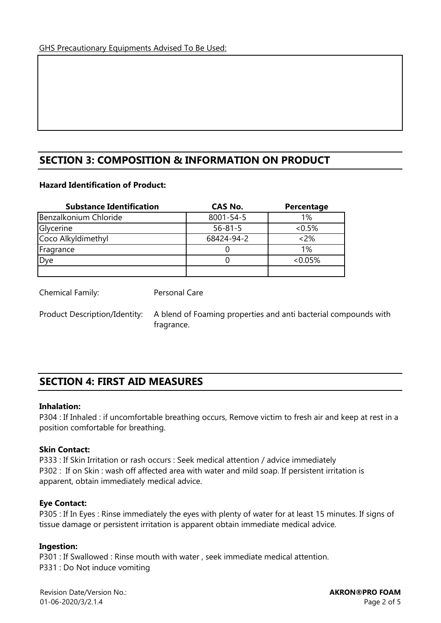# **SECTION 3: COMPOSITION & INFORMATION ON PRODUCT**

#### **Hazard Identification of Product:**

| <b>Substance Identification</b> | CAS No.         | Percentage |
|---------------------------------|-----------------|------------|
| Benzalkonium Chloride           | $8001 - 54 - 5$ | 1%         |
| Glycerine                       | $56 - 81 - 5$   | $< 0.5\%$  |
| Coco Alkyldimethyl              | 68424-94-2      | $<2\%$     |
| Fragrance                       |                 | 1%         |
| Dye                             |                 | $<0.05\%$  |
|                                 |                 |            |

Personal Care

Chemical Family:

Product Description/Identity:

A blend of Foaming properties and anti bacterial compounds with fragrance.

# **SECTION 4: FIRST AID MEASURES**

#### **Inhalation:**

P304 : If Inhaled : if uncomfortable breathing occurs, Remove victim to fresh air and keep at rest in a position comfortable for breathing.

#### **Skin Contact:**

P333 : If Skin Irritation or rash occurs : Seek medical attention / advice immediately P302 : If on Skin : wash off affected area with water and mild soap. If persistent irritation is apparent, obtain immediately medical advice.

#### **Eye Contact:**

P305 : If In Eyes : Rinse immediately the eyes with plenty of water for at least 15 minutes. If signs of tissue damage or persistent irritation is apparent obtain immediate medical advice.

#### **Ingestion:**

P301 : If Swallowed : Rinse mouth with water , seek immediate medical attention. P331 : Do Not induce vomiting

Revision Date/Version No.: 01-06-2020/3/2.1.4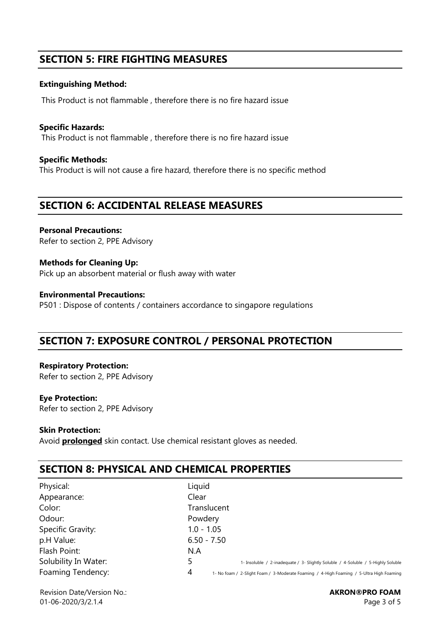# **SECTION 5: FIRE FIGHTING MEASURES**

#### **Extinguishing Method:**

This Product is not flammable , therefore there is no fire hazard issue

**Specific Hazards:**  This Product is not flammable , therefore there is no fire hazard issue

**Specific Methods:** This Product is will not cause a fire hazard, therefore there is no specific method

### **SECTION 6: ACCIDENTAL RELEASE MEASURES**

**Personal Precautions:**  Refer to section 2, PPE Advisory

**Methods for Cleaning Up:** Pick up an absorbent material or flush away with water

**Environmental Precautions:** P501 : Dispose of contents / containers accordance to singapore regulations

# **SECTION 7: EXPOSURE CONTROL / PERSONAL PROTECTION**

**Respiratory Protection:**  Refer to section 2, PPE Advisory

#### **Eye Protection:**

Refer to section 2, PPE Advisory

#### **Skin Protection:**

Avoid **prolonged** skin contact. Use chemical resistant gloves as needed.

# **SECTION 8: PHYSICAL AND CHEMICAL PROPERTIES**

| Physical:            | Liquid                                                                                       |
|----------------------|----------------------------------------------------------------------------------------------|
| Appearance:          | Clear                                                                                        |
| Color:               | Translucent                                                                                  |
| Odour:               | Powdery                                                                                      |
| Specific Gravity:    | $1.0 - 1.05$                                                                                 |
| p.H Value:           | $6.50 - 7.50$                                                                                |
| Flash Point:         | N.A                                                                                          |
| Solubility In Water: | 1- Insoluble / 2-inadequate / 3- Slightly Soluble / 4-Soluble / 5-Highly Soluble             |
| Foaming Tendency:    | 4<br>1- No foam / 2-Slight Foam / 3-Moderate Foaming / 4-High Foaming / 5-Ultra High Foaming |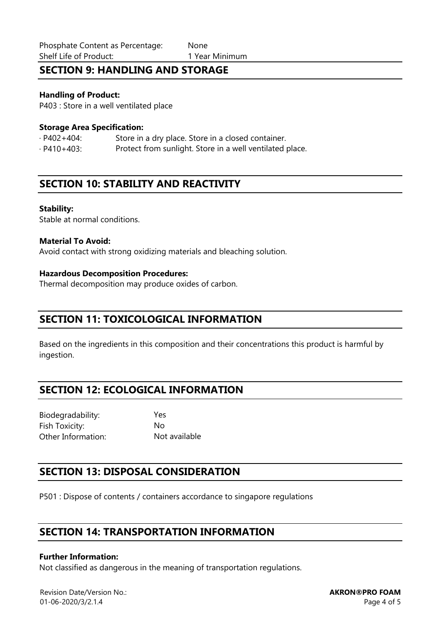# **SECTION 9: HANDLING AND STORAGE**

#### **Handling of Product:**

P403 : Store in a well ventilated place

#### **Storage Area Specification:**

· P402+404: Store in a dry place. Store in a closed container. · P410+403: Protect from sunlight. Store in a well ventilated place.

### **SECTION 10: STABILITY AND REACTIVITY**

#### **Stability:**

Stable at normal conditions.

#### **Material To Avoid:**

Avoid contact with strong oxidizing materials and bleaching solution.

#### **Hazardous Decomposition Procedures:**

Thermal decomposition may produce oxides of carbon.

### **SECTION 11: TOXICOLOGICAL INFORMATION**

Based on the ingredients in this composition and their concentrations this product is harmful by ingestion.

# **SECTION 12: ECOLOGICAL INFORMATION**

Biodegradability: Yes Fish Toxicity: No Other Information: Not available

# **SECTION 13: DISPOSAL CONSIDERATION**

P501 : Dispose of contents / containers accordance to singapore regulations

# **SECTION 14: TRANSPORTATION INFORMATION**

#### **Further Information:**

Not classified as dangerous in the meaning of transportation regulations.